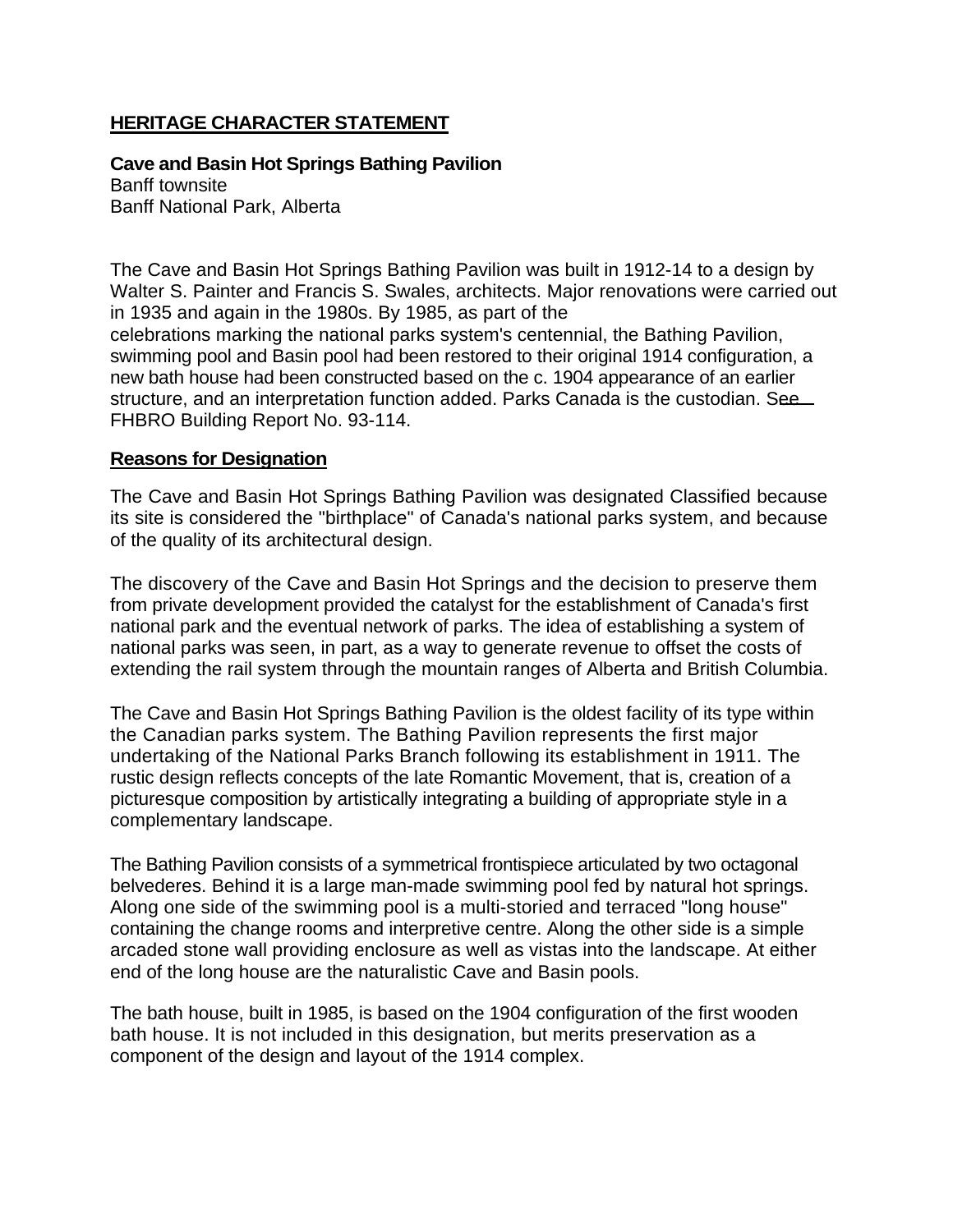## **HERITAGE CHARACTER STATEMENT**

**Cave and Basin Hot Springs Bathing Pavilion**  Banff townsite

Banff National Park, Alberta

The Cave and Basin Hot Springs Bathing Pavilion was built in 1912-14 to a design by Walter S. Painter and Francis S. Swales, architects. Major renovations were carried out in 1935 and again in the 1980s. By 1985, as part of the celebrations marking the national parks system's centennial, the Bathing Pavilion, swimming pool and Basin pool had been restored to their original 1914 configuration, a new bath house had been constructed based on the c. 1904 appearance of an earlier structure, and an interpretation function added. Parks Canada is the custodian. See FHBRO Building Report No. 93-114.

## **Reasons for Designation**

The Cave and Basin Hot Springs Bathing Pavilion was designated Classified because its site is considered the "birthplace" of Canada's national parks system, and because of the quality of its architectural design.

The discovery of the Cave and Basin Hot Springs and the decision to preserve them from private development provided the catalyst for the establishment of Canada's first national park and the eventual network of parks. The idea of establishing a system of national parks was seen, in part, as a way to generate revenue to offset the costs of extending the rail system through the mountain ranges of Alberta and British Columbia.

The Cave and Basin Hot Springs Bathing Pavilion is the oldest facility of its type within the Canadian parks system. The Bathing Pavilion represents the first major undertaking of the National Parks Branch following its establishment in 1911. The rustic design reflects concepts of the late Romantic Movement, that is, creation of a picturesque composition by artistically integrating a building of appropriate style in a complementary landscape.

The Bathing Pavilion consists of a symmetrical frontispiece articulated by two octagonal belvederes. Behind it is a large man-made swimming pool fed by natural hot springs. Along one side of the swimming pool is a multi-storied and terraced "long house" containing the change rooms and interpretive centre. Along the other side is a simple arcaded stone wall providing enclosure as well as vistas into the landscape. At either end of the long house are the naturalistic Cave and Basin pools.

The bath house, built in 1985, is based on the 1904 configuration of the first wooden bath house. It is not included in this designation, but merits preservation as a component of the design and layout of the 1914 complex.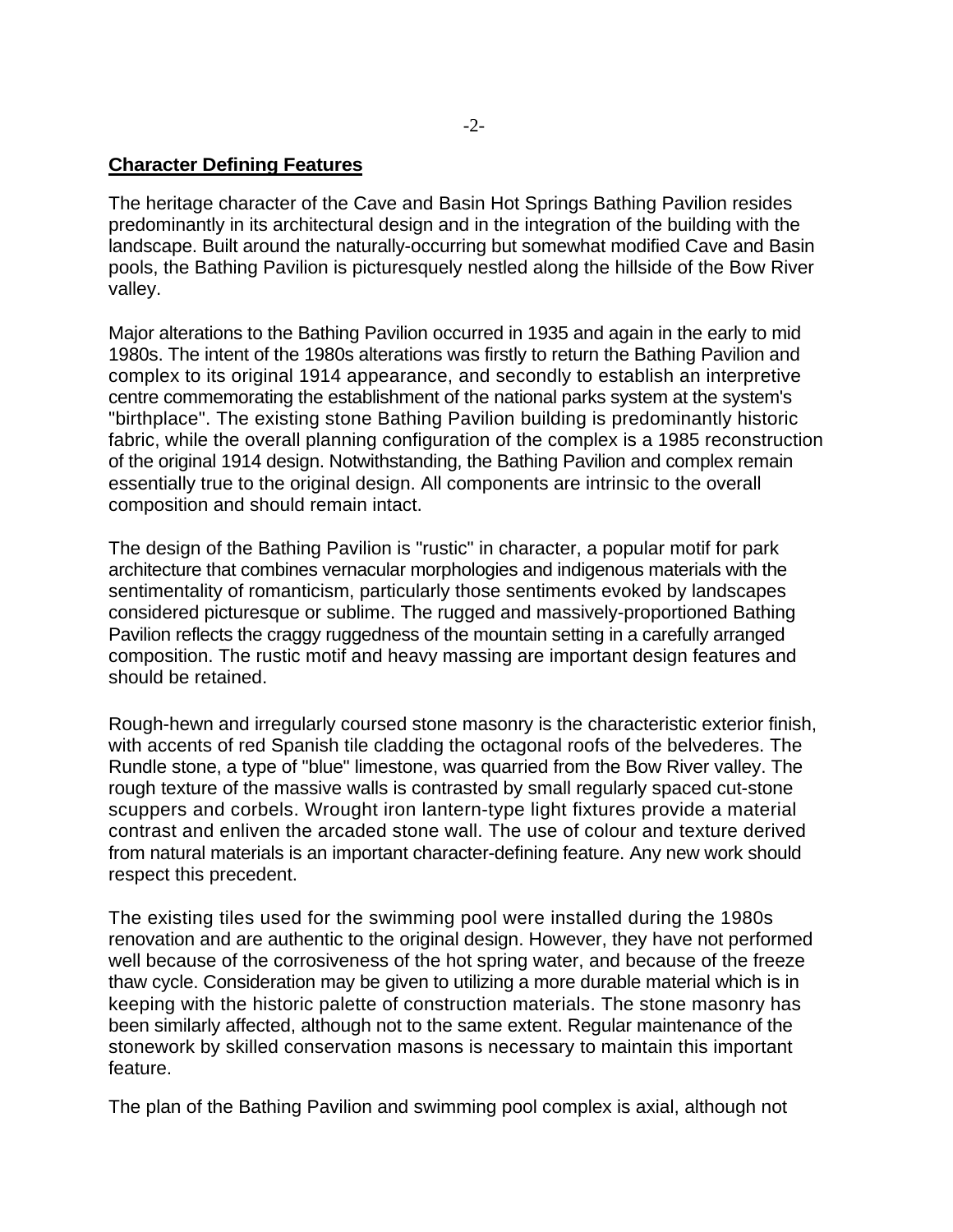## **Character Defining Features**

The heritage character of the Cave and Basin Hot Springs Bathing Pavilion resides predominantly in its architectural design and in the integration of the building with the landscape. Built around the naturally-occurring but somewhat modified Cave and Basin pools, the Bathing Pavilion is picturesquely nestled along the hillside of the Bow River valley.

Major alterations to the Bathing Pavilion occurred in 1935 and again in the early to mid 1980s. The intent of the 1980s alterations was firstly to return the Bathing Pavilion and complex to its original 1914 appearance, and secondly to establish an interpretive centre commemorating the establishment of the national parks system at the system's "birthplace". The existing stone Bathing Pavilion building is predominantly historic fabric, while the overall planning configuration of the complex is a 1985 reconstruction of the original 1914 design. Notwithstanding, the Bathing Pavilion and complex remain essentially true to the original design. All components are intrinsic to the overall composition and should remain intact.

The design of the Bathing Pavilion is "rustic" in character, a popular motif for park architecture that combines vernacular morphologies and indigenous materials with the sentimentality of romanticism, particularly those sentiments evoked by landscapes considered picturesque or sublime. The rugged and massively-proportioned Bathing Pavilion reflects the craggy ruggedness of the mountain setting in a carefully arranged composition. The rustic motif and heavy massing are important design features and should be retained.

Rough-hewn and irregularly coursed stone masonry is the characteristic exterior finish, with accents of red Spanish tile cladding the octagonal roofs of the belvederes. The Rundle stone, a type of "blue" limestone, was quarried from the Bow River valley. The rough texture of the massive walls is contrasted by small regularly spaced cut-stone scuppers and corbels. Wrought iron lantern-type light fixtures provide a material contrast and enliven the arcaded stone wall. The use of colour and texture derived from natural materials is an important character-defining feature. Any new work should respect this precedent.

The existing tiles used for the swimming pool were installed during the 1980s renovation and are authentic to the original design. However, they have not performed well because of the corrosiveness of the hot spring water, and because of the freeze thaw cycle. Consideration may be given to utilizing a more durable material which is in keeping with the historic palette of construction materials. The stone masonry has been similarly affected, although not to the same extent. Regular maintenance of the stonework by skilled conservation masons is necessary to maintain this important feature.

The plan of the Bathing Pavilion and swimming pool complex is axial, although not